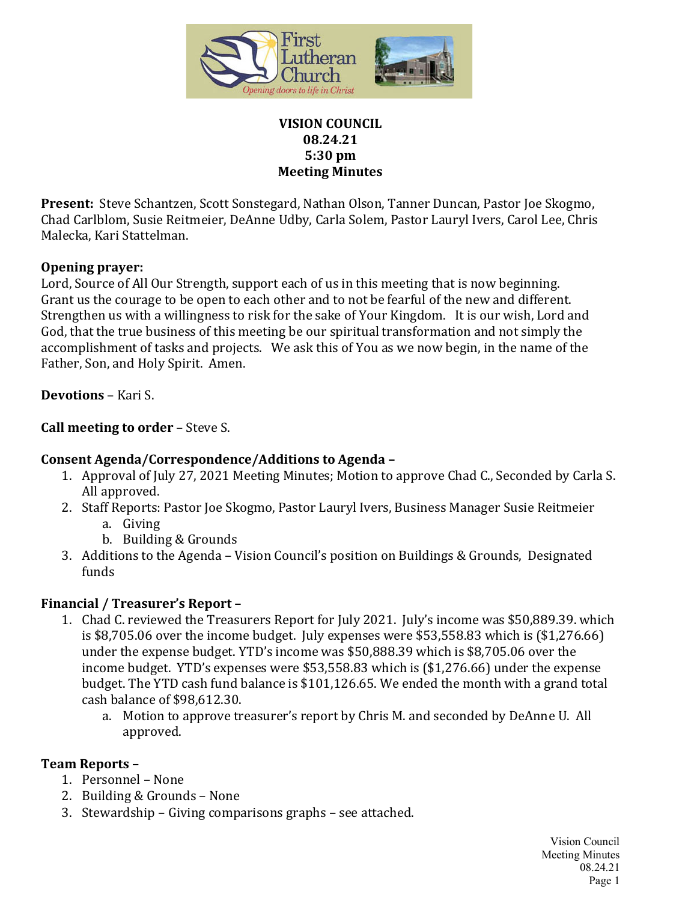

#### **VISION COUNCIL 08.24.21 5:30 pm Meeting Minutes**

**Present:** Steve Schantzen, Scott Sonstegard, Nathan Olson, Tanner Duncan, Pastor Joe Skogmo, Chad Carlblom, Susie Reitmeier, DeAnne Udby, Carla Solem, Pastor Lauryl Ivers, Carol Lee, Chris Malecka, Kari Stattelman.

#### **Opening prayer:**

Lord, Source of All Our Strength, support each of us in this meeting that is now beginning. Grant us the courage to be open to each other and to not be fearful of the new and different. Strengthen us with a willingness to risk for the sake of Your Kingdom. It is our wish, Lord and God, that the true business of this meeting be our spiritual transformation and not simply the accomplishment of tasks and projects. We ask this of You as we now begin, in the name of the Father, Son, and Holy Spirit. Amen.

**Devotions** – Kari S.

### **Call meeting to order** – Steve S.

# **Consent Agenda/Correspondence/Additions to Agenda –**

- 1. Approval of July 27, 2021 Meeting Minutes; Motion to approve Chad C., Seconded by Carla S. All approved.
- 2. Staff Reports: Pastor Joe Skogmo, Pastor Lauryl Ivers, Business Manager Susie Reitmeier a. Giving
	- b. Building & Grounds
- 3. Additions to the Agenda Vision Council's position on Buildings & Grounds, Designated funds

#### **Financial / Treasurer's Report –**

- 1. Chad C. reviewed the Treasurers Report for July 2021. July's income was \$50,889.39. which is \$8,705.06 over the income budget. July expenses were \$53,558.83 which is (\$1,276.66) under the expense budget. YTD's income was \$50,888.39 which is \$8,705.06 over the income budget. YTD's expenses were \$53,558.83 which is (\$1,276.66) under the expense budget. The YTD cash fund balance is \$101,126.65. We ended the month with a grand total cash balance of \$98,612.30.
	- a. Motion to approve treasurer's report by Chris M. and seconded by DeAnne U. All approved.

# **Team Reports –**

- 1. Personnel None
- 2. Building & Grounds None
- 3. Stewardship Giving comparisons graphs see attached.

Vision Council Meeting Minutes 08.24.21 Page 1